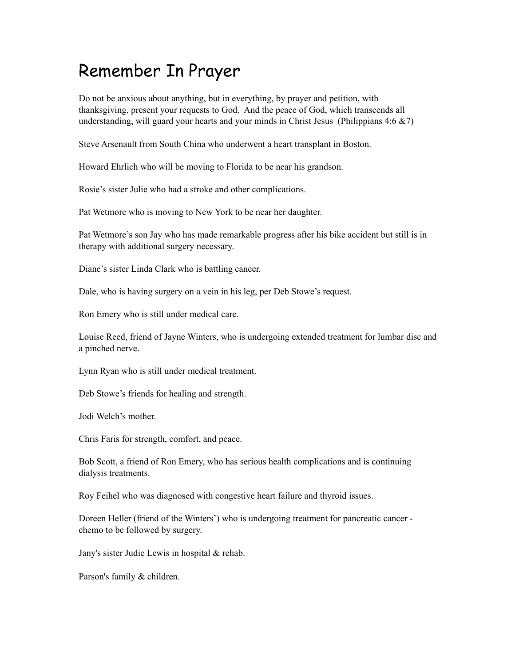## Remember In Prayer

Do not be anxious about anything, but in everything, by prayer and petition, with thanksgiving, present your requests to God. And the peace of God, which transcends all understanding, will guard your hearts and your minds in Christ Jesus (Philippians  $4:6 \& 7$ )

Steve Arsenault from South China who underwent a heart transplant in Boston.

Howard Ehrlich who will be moving to Florida to be near his grandson.

Rosie's sister Julie who had a stroke and other complications.

Pat Wetmore who is moving to New York to be near her daughter.

Pat Wetmore's son Jay who has made remarkable progress after his bike accident but still is in therapy with additional surgery necessary.

Diane's sister Linda Clark who is battling cancer.

Dale, who is having surgery on a vein in his leg, per Deb Stowe's request.

Ron Emery who is still under medical care.

Louise Reed, friend of Jayne Winters, who is undergoing extended treatment for lumbar disc and a pinched nerve.

Lynn Ryan who is still under medical treatment.

Deb Stowe's friends for healing and strength.

Jodi Welch's mother.

Chris Faris for strength, comfort, and peace.

Bob Scott, a friend of Ron Emery, who has serious health complications and is continuing dialysis treatments.

Roy Feihel who was diagnosed with congestive heart failure and thyroid issues.

Doreen Heller (friend of the Winters') who is undergoing treatment for pancreatic cancer chemo to be followed by surgery.

Jany's sister Judie Lewis in hospital & rehab.

Parson's family & children.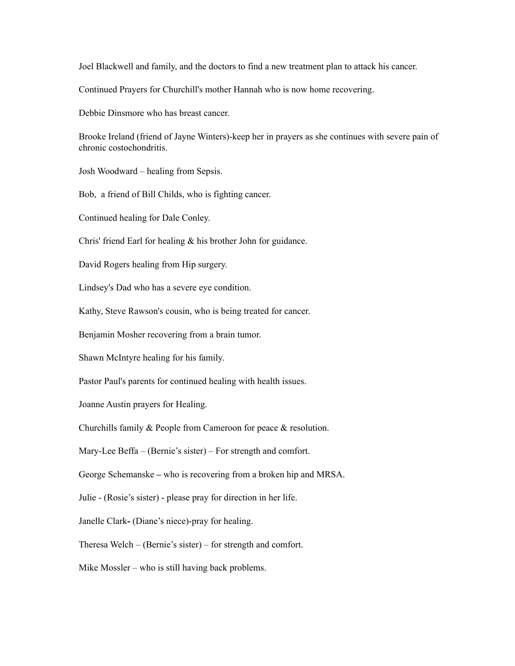Joel Blackwell and family, and the doctors to find a new treatment plan to attack his cancer.

Continued Prayers for Churchill's mother Hannah who is now home recovering.

Debbie Dinsmore who has breast cancer.

Brooke Ireland (friend of Jayne Winters)-keep her in prayers as she continues with severe pain of chronic costochondritis.

Josh Woodward – healing from Sepsis.

Bob, a friend of Bill Childs, who is fighting cancer.

Continued healing for Dale Conley.

Chris' friend Earl for healing & his brother John for guidance.

David Rogers healing from Hip surgery.

Lindsey's Dad who has a severe eye condition.

Kathy, Steve Rawson's cousin, who is being treated for cancer.

Benjamin Mosher recovering from a brain tumor.

Shawn McIntyre healing for his family.

Pastor Paul's parents for continued healing with health issues.

Joanne Austin prayers for Healing.

Churchills family & People from Cameroon for peace & resolution.

Mary-Lee Beffa – (Bernie's sister) – For strength and comfort.

George Schemanske **–** who is recovering from a broken hip and MRSA.

Julie - (Rosie's sister) - please pray for direction in her life.

Janelle Clark**-** (Diane's niece)-pray for healing.

Theresa Welch – (Bernie's sister) – for strength and comfort.

Mike Mossler – who is still having back problems.